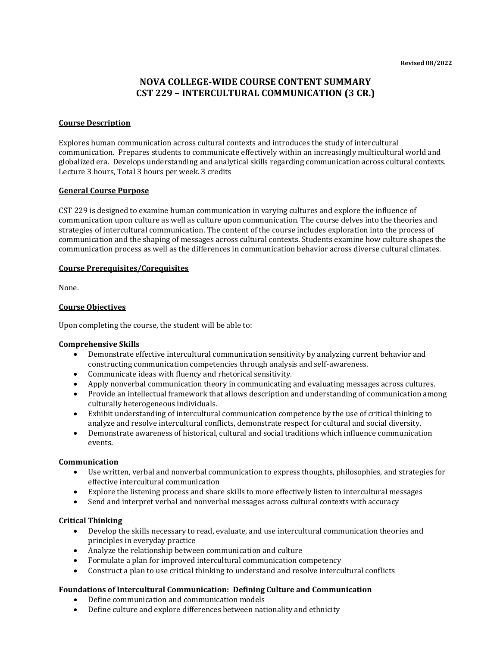# **NOVA COLLEGE-WIDE COURSE CONTENT SUMMARY CST 229 – INTERCULTURAL COMMUNICATION (3 CR.)**

#### **Course Description**

Explores human communication across cultural contexts and introduces the study of intercultural communication. Prepares students to communicate effectively within an increasingly multicultural world and globalized era. Develops understanding and analytical skills regarding communication across cultural contexts. Lecture 3 hours, Total 3 hours per week. 3 credits

#### **General Course Purpose**

CST 229 is designed to examine human communication in varying cultures and explore the influence of communication upon culture as well as culture upon communication. The course delves into the theories and strategies of intercultural communication. The content of the course includes exploration into the process of communication and the shaping of messages across cultural contexts. Students examine how culture shapes the communication process as well as the differences in communication behavior across diverse cultural climates.

#### **Course Prerequisites/Corequisites**

None.

#### **Course Objectives**

Upon completing the course, the student will be able to:

#### **Comprehensive Skills**

- Demonstrate effective intercultural communication sensitivity by analyzing current behavior and constructing communication competencies through analysis and self-awareness.
- Communicate ideas with fluency and rhetorical sensitivity.
- Apply nonverbal communication theory in communicating and evaluating messages across cultures.
- Provide an intellectual framework that allows description and understanding of communication among culturally heterogeneous individuals.
- Exhibit understanding of intercultural communication competence by the use of critical thinking to analyze and resolve intercultural conflicts, demonstrate respect for cultural and social diversity.
- Demonstrate awareness of historical, cultural and social traditions which influence communication events.

#### **Communication**

- Use written, verbal and nonverbal communication to express thoughts, philosophies, and strategies for effective intercultural communication
- Explore the listening process and share skills to more effectively listen to intercultural messages
- Send and interpret verbal and nonverbal messages across cultural contexts with accuracy

## **Critical Thinking**

- Develop the skills necessary to read, evaluate, and use intercultural communication theories and principles in everyday practice
- Analyze the relationship between communication and culture
- Formulate a plan for improved intercultural communication competency
- Construct a plan to use critical thinking to understand and resolve intercultural conflicts

## **Foundations of Intercultural Communication: Defining Culture and Communication**

- Define communication and communication models
- Define culture and explore differences between nationality and ethnicity